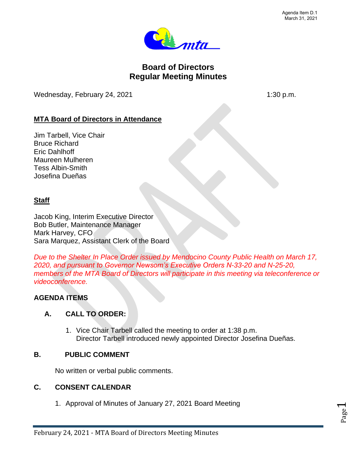

# **Board of Directors Regular Meeting Minutes**

Wednesday, February 24, 2021 1:30 p.m.

# **MTA Board of Directors in Attendance**

Jim Tarbell, Vice Chair Bruce Richard Eric Dahlhoff Maureen Mulheren Tess Albin-Smith Josefina Dueñas

## **Staff**

Jacob King, Interim Executive Director Bob Butler, Maintenance Manager Mark Harvey, CFO Sara Marquez, Assistant Clerk of the Board

*Due to the Shelter In Place Order issued by Mendocino County Public Health on March 17, 2020, and pursuant to Governor Newsom's Executive Orders N-33-20 and N-25-20, members of the MTA Board of Directors will participate in this meeting via teleconference or videoconference.*

# **AGENDA ITEMS**

# **A. CALL TO ORDER:**

1. Vice Chair Tarbell called the meeting to order at 1:38 p.m. Director Tarbell introduced newly appointed Director Josefina Dueñas.

### **B. PUBLIC COMMENT**

No written or verbal public comments.

### **C. CONSENT CALENDAR**

1. Approval of Minutes of January 27, 2021 Board Meeting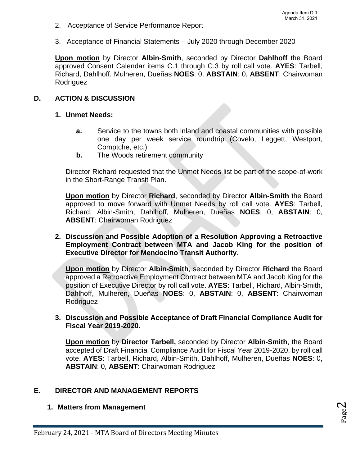- 2. Acceptance of Service Performance Report
- 3. Acceptance of Financial Statements July 2020 through December 2020

**Upon motion** by Director **Albin-Smith**, seconded by Director **Dahlhoff** the Board approved Consent Calendar items C.1 through C.3 by roll call vote. **AYES**: Tarbell, Richard, Dahlhoff, Mulheren, Dueñas **NOES**: 0, **ABSTAIN**: 0, **ABSENT**: Chairwoman **Rodriguez** 

## **D. ACTION & DISCUSSION**

### **1. Unmet Needs:**

- **a.** Service to the towns both inland and coastal communities with possible one day per week service roundtrip (Covelo, Leggett, Westport, Comptche, etc.)
- **b.** The Woods retirement community

Director Richard requested that the Unmet Needs list be part of the scope-of-work in the Short-Range Transit Plan.

**Upon motion** by Director **Richard**, seconded by Director **Albin-Smith** the Board approved to move forward with Unmet Needs by roll call vote. **AYES**: Tarbell, Richard, Albin-Smith, Dahlhoff, Mulheren, Dueñas **NOES**: 0, **ABSTAIN**: 0, **ABSENT**: Chairwoman Rodriguez

**2. Discussion and Possible Adoption of a Resolution Approving a Retroactive Employment Contract between MTA and Jacob King for the position of Executive Director for Mendocino Transit Authority.**

**Upon motion** by Director **Albin-Smith**, seconded by Director **Richard** the Board approved a Retroactive Employment Contract between MTA and Jacob King for the position of Executive Director by roll call vote. **AYES**: Tarbell, Richard, Albin-Smith, Dahlhoff, Mulheren, Dueñas **NOES**: 0, **ABSTAIN**: 0, **ABSENT**: Chairwoman Rodriguez

### **3. Discussion and Possible Acceptance of Draft Financial Compliance Audit for Fiscal Year 2019-2020.**

**Upon motion** by **Director Tarbell,** seconded by Director **Albin-Smith**, the Board accepted of Draft Financial Compliance Audit for Fiscal Year 2019-2020, by roll call vote. **AYES**: Tarbell, Richard, Albin-Smith, Dahlhoff, Mulheren, Dueñas **NOES**: 0, **ABSTAIN**: 0, **ABSENT**: Chairwoman Rodriguez

# **E. DIRECTOR AND MANAGEMENT REPORTS**

### **1. Matters from Management**